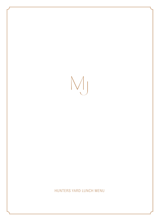M

# HUNTERS YARD LUNCH MENU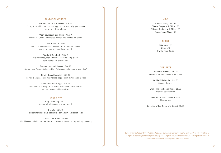### SANDWICH CORNER

Hunters Yard Club Sandwich *€16.50* Hickory smoked bacon, chicken, egg, tomato and baby gem lettuce on white or brown bread

Open Sourdough Sandwich *€15.50* Avocado, Duncannon smoked salmon and pickled red onion

New Yorker *€15.50* Pastrami, Swiss cheese, pickles, rocket, mustard, mayo, white cabbage and sourdough bread

Wexford Crab Roll *€16.50* Wexford crab, crème fraiche, avocado and pickled cucumbers on a brioche roll

Toasted Ham and Cheese *€14.50* Glazed ham, Bandon Vale cheddar, Ballymaloe relish on a granary loaf

Sirloin Steak Sandwich *€19.95* Toasted ciabatta, onion marmalade, peppercorn mayonnaise & fries

Jacks's 7oz Beef Burger *€19.95* Brioche bun, streaky bacon, Dubliner cheddar, salad leaves, mustard, mayo and house fries

#### LIGHT BITES

Soup of the Day *€9.00* Served with homemade brown bread

Burrata *€17.50* Heirloom tomato, olive, balsamic, Parma ham and rocket salad

Confit Duck Salad *€17.50* Mixed leaves, red chicory, peaches and cashew nuts with honey and soy dressing

# KIDS

Cheese Toasty *€6.00* Cheese Burger with Chips *€8* Chicken Goujons with Chips *€8* Sausage and Mash *€8*

#### SIDES

Side Salad *€5* Chips *€5* Truffle Fries *€7.50*

#### DESSERTS

Chocolate Brownie *€10.50* Passion fruit and chocolate ice cream

> Vanilla Mille Feuille *€10.50* Summer berries

Crème Fraiche Panna Cotta *10.50* Wexford strawberries

Selection of Irish Cheese *€14.50* Fig Chutney

Selection of Ice Cream and Sorbet *€9.50*

*Some of our dishes contain allergens. If you or a member of your party require further information relating to allergens please ask your server for a copy of our allergen menu, which contains a full listing of our dishes & itemises allergenic ingredients of each, where applicable*